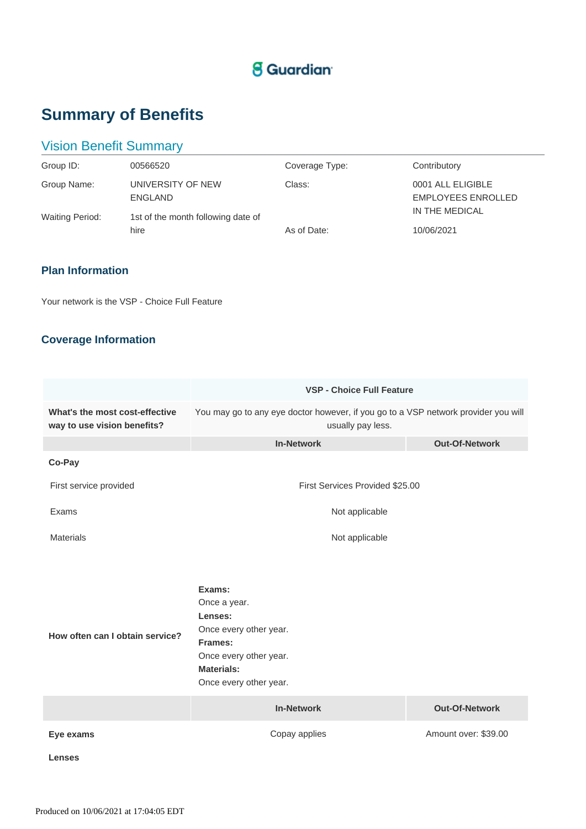# **S** Guardian

# **Summary of Benefits**

# Vision Benefit Summary

| Group ID:                             | 00566520                                                           | Coverage Type: | Contributory                                                     |
|---------------------------------------|--------------------------------------------------------------------|----------------|------------------------------------------------------------------|
| Group Name:<br><b>Waiting Period:</b> | UNIVERSITY OF NEW<br>ENGLAND<br>1st of the month following date of | Class:         | 0001 ALL ELIGIBLE<br><b>EMPLOYEES ENROLLED</b><br>IN THE MEDICAL |
|                                       | hire                                                               | As of Date:    | 10/06/2021                                                       |

## **Plan Information**

Your network is the VSP - Choice Full Feature

# **Coverage Information**

|                                                               | <b>VSP - Choice Full Feature</b>                                                                                                                |                       |  |
|---------------------------------------------------------------|-------------------------------------------------------------------------------------------------------------------------------------------------|-----------------------|--|
| What's the most cost-effective<br>way to use vision benefits? | You may go to any eye doctor however, if you go to a VSP network provider you will<br>usually pay less.                                         |                       |  |
|                                                               | <b>In-Network</b>                                                                                                                               | <b>Out-Of-Network</b> |  |
| Co-Pay                                                        |                                                                                                                                                 |                       |  |
| First service provided                                        | First Services Provided \$25.00                                                                                                                 |                       |  |
| Exams                                                         | Not applicable                                                                                                                                  |                       |  |
| <b>Materials</b>                                              | Not applicable                                                                                                                                  |                       |  |
| How often can I obtain service?                               | Exams:<br>Once a year.<br>Lenses:<br>Once every other year.<br>Frames:<br>Once every other year.<br><b>Materials:</b><br>Once every other year. |                       |  |
|                                                               | <b>In-Network</b>                                                                                                                               | <b>Out-Of-Network</b> |  |
| Eye exams                                                     | Copay applies                                                                                                                                   | Amount over: \$39.00  |  |
| <b>Lenses</b>                                                 |                                                                                                                                                 |                       |  |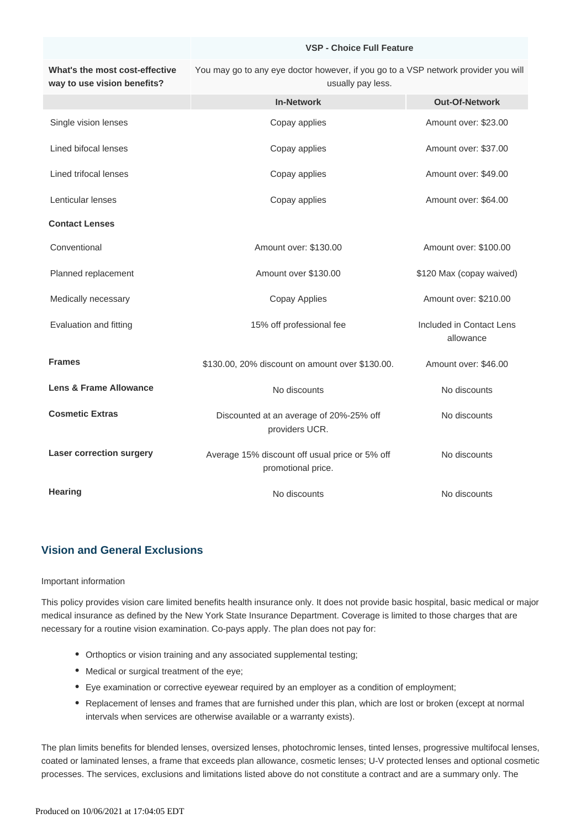#### **VSP - Choice Full Feature**

**What's the most cost-effective way to use vision benefits?** You may go to any eye doctor however, if you go to a VSP network provider you will usually pay less.

|                                 | <b>In-Network</b>                                                    | <b>Out-Of-Network</b>                 |
|---------------------------------|----------------------------------------------------------------------|---------------------------------------|
| Single vision lenses            | Copay applies                                                        | Amount over: \$23.00                  |
| Lined bifocal lenses            | Copay applies                                                        | Amount over: \$37.00                  |
| Lined trifocal lenses           | Copay applies                                                        | Amount over: \$49.00                  |
| Lenticular lenses               | Copay applies                                                        | Amount over: \$64.00                  |
| <b>Contact Lenses</b>           |                                                                      |                                       |
| Conventional                    | Amount over: \$130.00                                                | Amount over: \$100.00                 |
| Planned replacement             | Amount over \$130.00                                                 | \$120 Max (copay waived)              |
| Medically necessary             | <b>Copay Applies</b>                                                 | Amount over: \$210.00                 |
| Evaluation and fitting          | 15% off professional fee                                             | Included in Contact Lens<br>allowance |
| <b>Frames</b>                   | \$130.00, 20% discount on amount over \$130.00.                      | Amount over: \$46.00                  |
| Lens & Frame Allowance          | No discounts                                                         | No discounts                          |
| <b>Cosmetic Extras</b>          | Discounted at an average of 20%-25% off<br>providers UCR.            | No discounts                          |
| <b>Laser correction surgery</b> | Average 15% discount off usual price or 5% off<br>promotional price. | No discounts                          |
| <b>Hearing</b>                  | No discounts                                                         | No discounts                          |

## **Vision and General Exclusions**

#### Important information

This policy provides vision care limited benefits health insurance only. It does not provide basic hospital, basic medical or major medical insurance as defined by the New York State Insurance Department. Coverage is limited to those charges that are necessary for a routine vision examination. Co-pays apply. The plan does not pay for:

- Orthoptics or vision training and any associated supplemental testing;
- Medical or surgical treatment of the eye;
- Eye examination or corrective eyewear required by an employer as a condition of employment;
- Replacement of lenses and frames that are furnished under this plan, which are lost or broken (except at normal intervals when services are otherwise available or a warranty exists).

The plan limits benefits for blended lenses, oversized lenses, photochromic lenses, tinted lenses, progressive multifocal lenses, coated or laminated lenses, a frame that exceeds plan allowance, cosmetic lenses; U-V protected lenses and optional cosmetic processes. The services, exclusions and limitations listed above do not constitute a contract and are a summary only. The